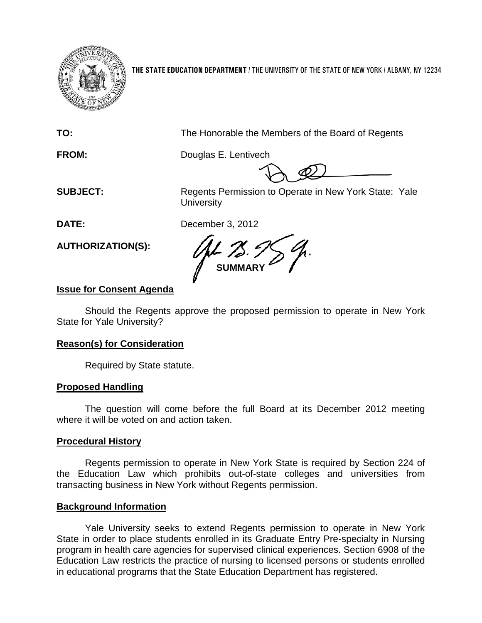

**THE STATE EDUCATION DEPARTMENT** / THE UNIVERSITY OF THE STATE OF NEW YORK / ALBANY, NY 12234

**TO:** The Honorable the Members of the Board of Regents

**FROM:** Douglas E. Lentivech

**SUBJECT:** Regents Permission to Operate in New York State: Yale **University** 

**DATE:** December 3, 2012

**AUTHORIZATION(S):**

**SUMMARY**

# **Issue for Consent Agenda**

Should the Regents approve the proposed permission to operate in New York State for Yale University?

## **Reason(s) for Consideration**

Required by State statute.

## **Proposed Handling**

The question will come before the full Board at its December 2012 meeting where it will be voted on and action taken.

## **Procedural History**

Regents permission to operate in New York State is required by Section 224 of the Education Law which prohibits out-of-state colleges and universities from transacting business in New York without Regents permission.

## **Background Information**

Yale University seeks to extend Regents permission to operate in New York State in order to place students enrolled in its Graduate Entry Pre-specialty in Nursing program in health care agencies for supervised clinical experiences. Section 6908 of the Education Law restricts the practice of nursing to licensed persons or students enrolled in educational programs that the State Education Department has registered.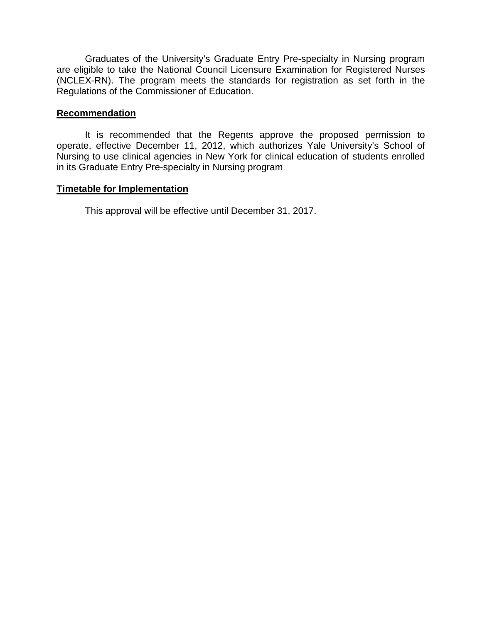Graduates of the University's Graduate Entry Pre-specialty in Nursing program are eligible to take the National Council Licensure Examination for Registered Nurses (NCLEX-RN). The program meets the standards for registration as set forth in the Regulations of the Commissioner of Education.

#### **Recommendation**

It is recommended that the Regents approve the proposed permission to operate, effective December 11, 2012, which authorizes Yale University's School of Nursing to use clinical agencies in New York for clinical education of students enrolled in its Graduate Entry Pre-specialty in Nursing program

#### **Timetable for Implementation**

This approval will be effective until December 31, 2017.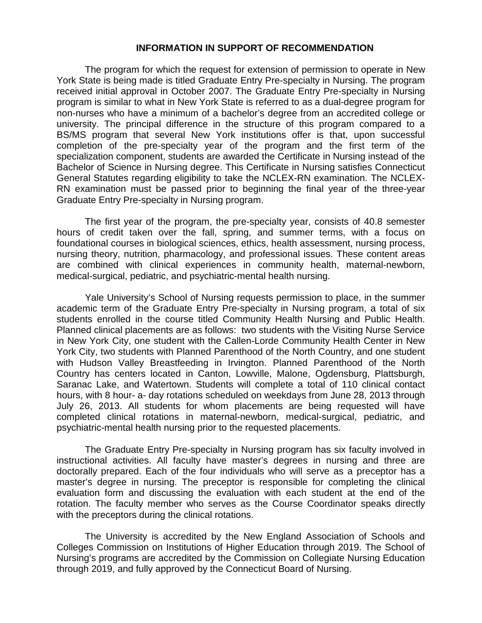#### **INFORMATION IN SUPPORT OF RECOMMENDATION**

The program for which the request for extension of permission to operate in New York State is being made is titled Graduate Entry Pre-specialty in Nursing. The program received initial approval in October 2007. The Graduate Entry Pre-specialty in Nursing program is similar to what in New York State is referred to as a dual-degree program for non-nurses who have a minimum of a bachelor's degree from an accredited college or university. The principal difference in the structure of this program compared to a BS/MS program that several New York institutions offer is that, upon successful completion of the pre-specialty year of the program and the first term of the specialization component, students are awarded the Certificate in Nursing instead of the Bachelor of Science in Nursing degree. This Certificate in Nursing satisfies Connecticut General Statutes regarding eligibility to take the NCLEX-RN examination. The NCLEX-RN examination must be passed prior to beginning the final year of the three-year Graduate Entry Pre-specialty in Nursing program.

The first year of the program, the pre-specialty year, consists of 40.8 semester hours of credit taken over the fall, spring, and summer terms, with a focus on foundational courses in biological sciences, ethics, health assessment, nursing process, nursing theory, nutrition, pharmacology, and professional issues. These content areas are combined with clinical experiences in community health, maternal-newborn, medical-surgical, pediatric, and psychiatric-mental health nursing.

Yale University's School of Nursing requests permission to place, in the summer academic term of the Graduate Entry Pre-specialty in Nursing program, a total of six students enrolled in the course titled Community Health Nursing and Public Health. Planned clinical placements are as follows: two students with the Visiting Nurse Service in New York City, one student with the Callen-Lorde Community Health Center in New York City, two students with Planned Parenthood of the North Country, and one student with Hudson Valley Breastfeeding in Irvington. Planned Parenthood of the North Country has centers located in Canton, Lowville, Malone, Ogdensburg, Plattsburgh, Saranac Lake, and Watertown. Students will complete a total of 110 clinical contact hours, with 8 hour- a- day rotations scheduled on weekdays from June 28, 2013 through July 26, 2013. All students for whom placements are being requested will have completed clinical rotations in maternal-newborn, medical-surgical, pediatric, and psychiatric-mental health nursing prior to the requested placements.

The Graduate Entry Pre-specialty in Nursing program has six faculty involved in instructional activities. All faculty have master's degrees in nursing and three are doctorally prepared. Each of the four individuals who will serve as a preceptor has a master's degree in nursing. The preceptor is responsible for completing the clinical evaluation form and discussing the evaluation with each student at the end of the rotation. The faculty member who serves as the Course Coordinator speaks directly with the preceptors during the clinical rotations.

The University is accredited by the New England Association of Schools and Colleges Commission on Institutions of Higher Education through 2019. The School of Nursing's programs are accredited by the Commission on Collegiate Nursing Education through 2019, and fully approved by the Connecticut Board of Nursing.